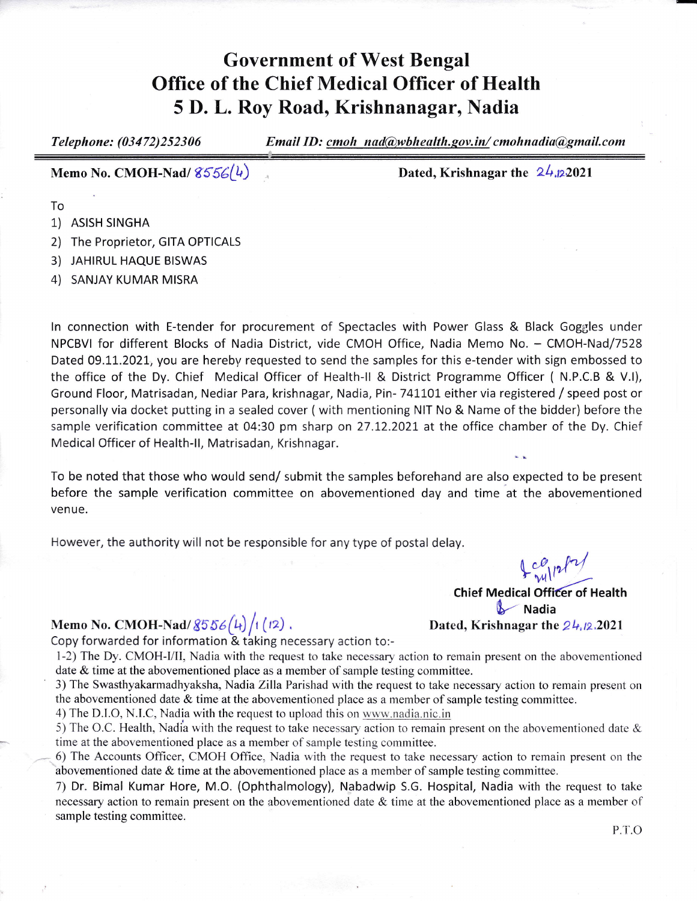## Government of West Bengal Office of the Chief Medical Officer of Health 5 D. L. Roy Road, Krishnanagar, Nadia

Telephone: (03472)252306 Email ID: cmoh nad@wbhealth.gov.in/cmohnadia@gmail.com Memo No. CMOH-Nad/ $8556(4)$ Dated, Krishnagar the  $24.2021$ To 1) ASISH SINGHA

- 2) The Proprietor, GITA OPTICALS
- 3) JAHIRUL HAQUE BISWAS
- 4) SANJAY KUMAR MISRA

ln connection with E-tender for procurement of Spectacles with Power Glass & Black Goggles under NPCBVI for different Blocks of Nadia District, vide CMOH Office, Nadia Memo No. - CMOH-Nad/7528 Dated 09.11.2021, you are hereby requested to send the samples for this e-tender with sign embossed to the office of the Dy. Chief Medical Officer of Health-ll & District Programme Officer ( N.P.C.B & V.l), Ground Floor, Matrisadan, Nediar Para, krishnagar, Nadia, Pin- 741101 either via registered / speed post or personally via docket putting in a sealed cover (with mentioning NIT No & Name of the bidder) before the sample verification committee at 04:30 pm sharp on 27.12.2021 at the office chamber of the Dy. Chief Medical Officer of Health-ll, Matrisadan, Krishnagar.

To be noted that those who would send/ submit the samples beforehand are also expected to be present before the sample verification committee on abovementioned day and time at the abovementioned venue.

However, the authority will not be responsible for any type of postal delay.

## Memo No. CMOH-Nad/  $8556(h)/1$  (12).

Copy forwarded for information & taking necessary action to:-

1-2) The Dy. CMOH-I/II, Nadia with the request to take necessary action to remain present on the abovementioned date & time at the abovementioned place as a member of sample testing committee.

3) The Swasthyakarmadhyaksha, Nadia Zilla Parishad with the request to take necessary action to remain present on the abovementioned date  $&$  time at the abovementioned place as a member of sample testing committee.

4) The D.I.O, N.I.C, Nadia with the request to upload this on www.nadia.nic.in

5) The O.C. Health, Nadia with the request to take necessary action to remain present on the abovementioned date  $\&$ time at the above mentioned place as a member of sample testing committee.

6) The Accounts Officer, CMOH Office, Nadia with the request to take necessary action to remain present on the abovementioned date  $&$  time at the abovementioned place as a member of sample testing committee.

1) Dr. Bimal Kumar Hore, M.O. (Ophthalmology), Nabadwip S.G. Hospital, Nadia with the request to take necessary action to remain present on the abovementioned date  $&$  time at the abovementioned place as a member of sample testing committee.

 $Log_{112}/7/$ Chief Medical Officer of Health Nadia<br>Dated, Krishnagar the  $24.12.2021$